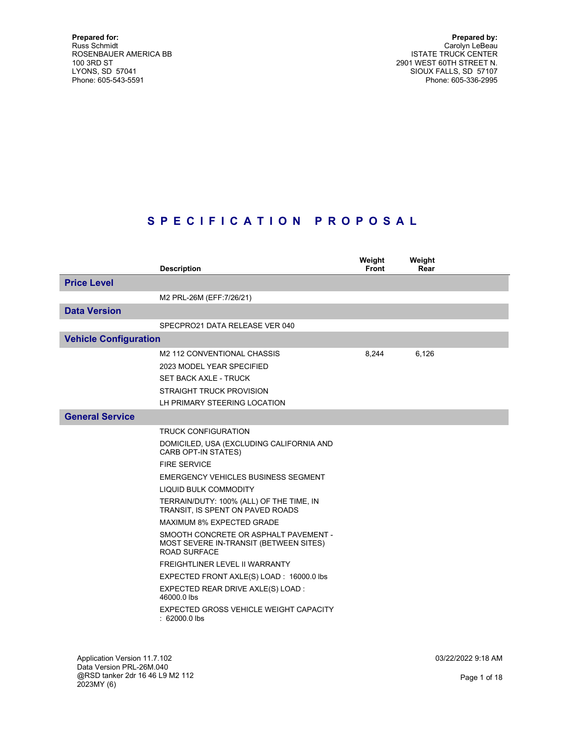Prepared by: Carolyn LeBeau ISTATE TRUCK CENTER 2901 WEST 60TH STREET N. SIOUX FALLS, SD 57107 Phone: 605-336-2995

# S P E C I F I C A T I O N P R O P O S A L

|                              | <b>Description</b>                                                                                                                                                                                                                                                                                                                                                                                                                                                                                                                                                                                                        | Weight<br><b>Front</b> | Weight<br>Rear |  |
|------------------------------|---------------------------------------------------------------------------------------------------------------------------------------------------------------------------------------------------------------------------------------------------------------------------------------------------------------------------------------------------------------------------------------------------------------------------------------------------------------------------------------------------------------------------------------------------------------------------------------------------------------------------|------------------------|----------------|--|
| <b>Price Level</b>           |                                                                                                                                                                                                                                                                                                                                                                                                                                                                                                                                                                                                                           |                        |                |  |
|                              | M2 PRL-26M (EFF: 7/26/21)                                                                                                                                                                                                                                                                                                                                                                                                                                                                                                                                                                                                 |                        |                |  |
| <b>Data Version</b>          |                                                                                                                                                                                                                                                                                                                                                                                                                                                                                                                                                                                                                           |                        |                |  |
|                              | SPECPRO21 DATA RELEASE VER 040                                                                                                                                                                                                                                                                                                                                                                                                                                                                                                                                                                                            |                        |                |  |
| <b>Vehicle Configuration</b> |                                                                                                                                                                                                                                                                                                                                                                                                                                                                                                                                                                                                                           |                        |                |  |
|                              | M2 112 CONVENTIONAL CHASSIS<br>2023 MODEL YEAR SPECIFIED<br><b>SET BACK AXLE - TRUCK</b><br><b>STRAIGHT TRUCK PROVISION</b><br>LH PRIMARY STEERING LOCATION                                                                                                                                                                                                                                                                                                                                                                                                                                                               | 8,244                  | 6,126          |  |
| <b>General Service</b>       |                                                                                                                                                                                                                                                                                                                                                                                                                                                                                                                                                                                                                           |                        |                |  |
|                              | <b>TRUCK CONFIGURATION</b><br>DOMICILED, USA (EXCLUDING CALIFORNIA AND<br><b>CARB OPT-IN STATES)</b><br><b>FIRE SERVICE</b><br>EMERGENCY VEHICLES BUSINESS SEGMENT<br><b>LIQUID BULK COMMODITY</b><br>TERRAIN/DUTY: 100% (ALL) OF THE TIME, IN<br>TRANSIT, IS SPENT ON PAVED ROADS<br><b>MAXIMUM 8% EXPECTED GRADE</b><br>SMOOTH CONCRETE OR ASPHALT PAVEMENT -<br>MOST SEVERE IN-TRANSIT (BETWEEN SITES)<br>ROAD SURFACE<br>FREIGHTLINER LEVEL II WARRANTY<br>EXPECTED FRONT AXLE(S) LOAD: 16000.0 lbs<br>EXPECTED REAR DRIVE AXLE(S) LOAD :<br>46000.0 lbs<br>EXPECTED GROSS VEHICLE WEIGHT CAPACITY<br>$: 62000.0$ lbs |                        |                |  |

Application Version 11.7.102 Data Version PRL-26M.040 @RSD tanker 2dr 16 46 L9 M2 112 2023MY (6)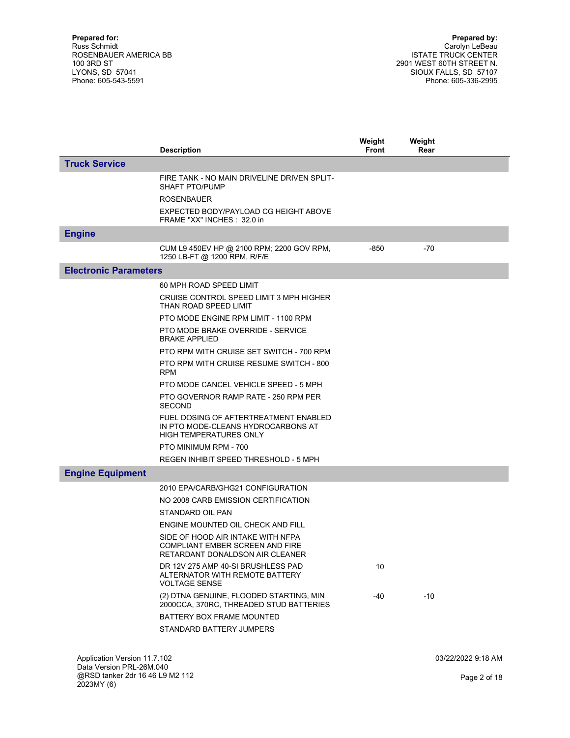|                                                          | <b>Description</b>                                                                                           | Weight<br><b>Front</b> | Weight<br>Rear |                    |
|----------------------------------------------------------|--------------------------------------------------------------------------------------------------------------|------------------------|----------------|--------------------|
| <b>Truck Service</b>                                     |                                                                                                              |                        |                |                    |
|                                                          | FIRE TANK - NO MAIN DRIVELINE DRIVEN SPLIT-<br><b>SHAFT PTO/PUMP</b>                                         |                        |                |                    |
|                                                          | <b>ROSENBAUER</b>                                                                                            |                        |                |                    |
|                                                          | EXPECTED BODY/PAYLOAD CG HEIGHT ABOVE<br>FRAME "XX" INCHES: 32.0 in                                          |                        |                |                    |
| <b>Engine</b>                                            |                                                                                                              |                        |                |                    |
|                                                          | CUM L9 450EV HP @ 2100 RPM; 2200 GOV RPM,<br>1250 LB-FT @ 1200 RPM, R/F/E                                    | $-850$                 | $-70$          |                    |
| <b>Electronic Parameters</b>                             |                                                                                                              |                        |                |                    |
|                                                          | 60 MPH ROAD SPEED LIMIT                                                                                      |                        |                |                    |
|                                                          | CRUISE CONTROL SPEED LIMIT 3 MPH HIGHER<br>THAN ROAD SPEED LIMIT                                             |                        |                |                    |
|                                                          | PTO MODE ENGINE RPM LIMIT - 1100 RPM                                                                         |                        |                |                    |
|                                                          | PTO MODE BRAKE OVERRIDE - SERVICE<br><b>BRAKE APPLIED</b>                                                    |                        |                |                    |
|                                                          | PTO RPM WITH CRUISE SET SWITCH - 700 RPM                                                                     |                        |                |                    |
|                                                          | PTO RPM WITH CRUISE RESUME SWITCH - 800<br><b>RPM</b>                                                        |                        |                |                    |
|                                                          | PTO MODE CANCEL VEHICLE SPEED - 5 MPH                                                                        |                        |                |                    |
|                                                          | PTO GOVERNOR RAMP RATE - 250 RPM PER<br><b>SECOND</b>                                                        |                        |                |                    |
|                                                          | FUEL DOSING OF AFTERTREATMENT ENABLED<br>IN PTO MODE-CLEANS HYDROCARBONS AT<br><b>HIGH TEMPERATURES ONLY</b> |                        |                |                    |
|                                                          | PTO MINIMUM RPM - 700                                                                                        |                        |                |                    |
|                                                          | REGEN INHIBIT SPEED THRESHOLD - 5 MPH                                                                        |                        |                |                    |
| <b>Engine Equipment</b>                                  |                                                                                                              |                        |                |                    |
|                                                          | 2010 EPA/CARB/GHG21 CONFIGURATION                                                                            |                        |                |                    |
|                                                          | NO 2008 CARB EMISSION CERTIFICATION                                                                          |                        |                |                    |
|                                                          | STANDARD OIL PAN                                                                                             |                        |                |                    |
|                                                          | ENGINE MOUNTED OIL CHECK AND FILL                                                                            |                        |                |                    |
|                                                          | SIDE OF HOOD AIR INTAKE WITH NFPA<br>COMPLIANT EMBER SCREEN AND FIRE<br>RETARDANT DONALDSON AIR CLEANER      |                        |                |                    |
|                                                          | DR 12V 275 AMP 40-SI BRUSHLESS PAD<br>ALTERNATOR WITH REMOTE BATTERY<br><b>VOLTAGE SENSE</b>                 | 10                     |                |                    |
|                                                          | (2) DTNA GENUINE, FLOODED STARTING, MIN<br>2000CCA, 370RC, THREADED STUD BATTERIES                           | -40                    | $-10$          |                    |
|                                                          | <b>BATTERY BOX FRAME MOUNTED</b>                                                                             |                        |                |                    |
|                                                          | STANDARD BATTERY JUMPERS                                                                                     |                        |                |                    |
|                                                          |                                                                                                              |                        |                |                    |
| Application Version 11.7.102<br>Deta Version DDI 06M 040 |                                                                                                              |                        |                | 03/22/2022 9:18 AM |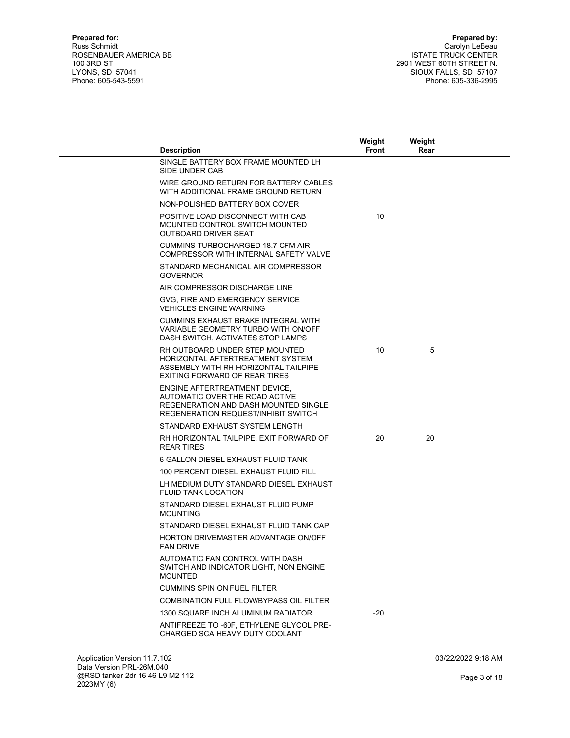| <b>Description</b>                                                                                                                                 | Weight<br>Front | Weight<br>Rear |  |
|----------------------------------------------------------------------------------------------------------------------------------------------------|-----------------|----------------|--|
| SINGLE BATTERY BOX FRAME MOUNTED LH<br>SIDE UNDER CAB                                                                                              |                 |                |  |
| WIRE GROUND RETURN FOR BATTERY CABLES<br>WITH ADDITIONAL FRAME GROUND RETURN                                                                       |                 |                |  |
| NON-POLISHED BATTERY BOX COVER                                                                                                                     |                 |                |  |
| POSITIVE LOAD DISCONNECT WITH CAB<br>MOUNTED CONTROL SWITCH MOUNTED<br><b>OUTBOARD DRIVER SEAT</b>                                                 | 10              |                |  |
| <b>CUMMINS TURBOCHARGED 18.7 CFM AIR</b><br>COMPRESSOR WITH INTERNAL SAFETY VALVE                                                                  |                 |                |  |
| STANDARD MECHANICAL AIR COMPRESSOR<br><b>GOVERNOR</b>                                                                                              |                 |                |  |
| AIR COMPRESSOR DISCHARGE LINE                                                                                                                      |                 |                |  |
| GVG, FIRE AND EMERGENCY SERVICE<br><b>VEHICLES ENGINE WARNING</b>                                                                                  |                 |                |  |
| <b>CUMMINS EXHAUST BRAKE INTEGRAL WITH</b><br>VARIABLE GEOMETRY TURBO WITH ON/OFF<br>DASH SWITCH, ACTIVATES STOP LAMPS                             |                 |                |  |
| RH OUTBOARD UNDER STEP MOUNTED<br>HORIZONTAL AFTERTREATMENT SYSTEM<br>ASSEMBLY WITH RH HORIZONTAL TAILPIPE<br><b>EXITING FORWARD OF REAR TIRES</b> | 10              | 5              |  |
| ENGINE AFTERTREATMENT DEVICE.<br>AUTOMATIC OVER THE ROAD ACTIVE<br>REGENERATION AND DASH MOUNTED SINGLE<br>REGENERATION REQUEST/INHIBIT SWITCH     |                 |                |  |
| STANDARD EXHAUST SYSTEM LENGTH                                                                                                                     |                 |                |  |
| RH HORIZONTAL TAILPIPE, EXIT FORWARD OF<br><b>REAR TIRES</b>                                                                                       | 20              | 20             |  |
| 6 GALLON DIESEL EXHAUST FLUID TANK                                                                                                                 |                 |                |  |
| 100 PERCENT DIESEL EXHAUST FLUID FILL                                                                                                              |                 |                |  |
| LH MEDIUM DUTY STANDARD DIESEL EXHAUST<br><b>FLUID TANK LOCATION</b>                                                                               |                 |                |  |
| STANDARD DIESEL EXHAUST FLUID PUMP<br><b>MOUNTING</b>                                                                                              |                 |                |  |
| STANDARD DIESEL EXHAUST FLUID TANK CAP                                                                                                             |                 |                |  |
| HORTON DRIVEMASTER ADVANTAGE ON/OFF<br><b>FAN DRIVE</b>                                                                                            |                 |                |  |
| AUTOMATIC FAN CONTROL WITH DASH<br>SWITCH AND INDICATOR LIGHT, NON ENGINE<br><b>MOUNTED</b>                                                        |                 |                |  |
| <b>CUMMINS SPIN ON FUEL FILTER</b>                                                                                                                 |                 |                |  |
| COMBINATION FULL FLOW/BYPASS OIL FILTER                                                                                                            |                 |                |  |
| 1300 SQUARE INCH ALUMINUM RADIATOR                                                                                                                 | $-20$           |                |  |
| ANTIFREEZE TO -60F, ETHYLENE GLYCOL PRE-<br>CHARGED SCA HEAVY DUTY COOLANT                                                                         |                 |                |  |
|                                                                                                                                                    |                 |                |  |
|                                                                                                                                                    |                 |                |  |

Application Version 11.7.102 Data Version PRL-26M.040 @RSD tanker 2dr 16 46 L9 M2 112 2023MY (6)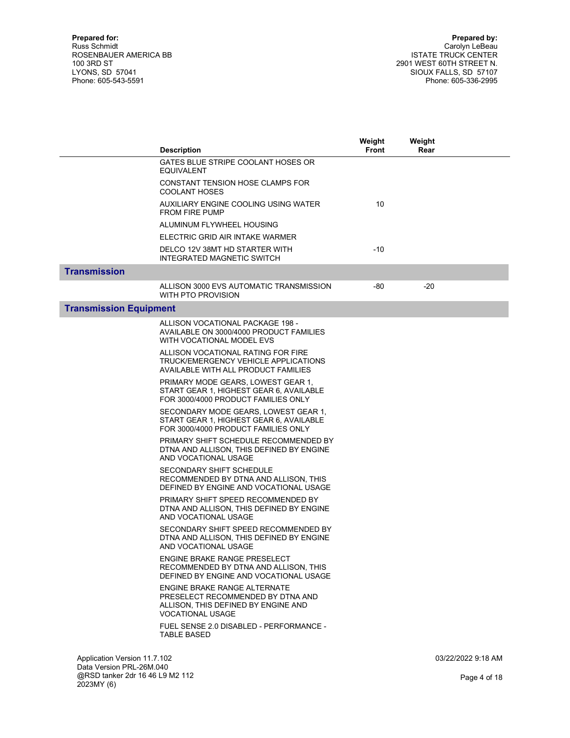|                               | <b>Description</b>                                                                                                                  | Weight<br>Front | Weight<br>Rear |                    |
|-------------------------------|-------------------------------------------------------------------------------------------------------------------------------------|-----------------|----------------|--------------------|
|                               | GATES BLUE STRIPE COOLANT HOSES OR<br>EQUIVALENT                                                                                    |                 |                |                    |
|                               | CONSTANT TENSION HOSE CLAMPS FOR<br><b>COOLANT HOSES</b>                                                                            |                 |                |                    |
|                               | AUXILIARY ENGINE COOLING USING WATER<br><b>FROM FIRE PUMP</b>                                                                       | 10              |                |                    |
|                               | ALUMINUM FLYWHEEL HOUSING                                                                                                           |                 |                |                    |
|                               | ELECTRIC GRID AIR INTAKE WARMER                                                                                                     |                 |                |                    |
|                               | DELCO 12V 38MT HD STARTER WITH<br>INTEGRATED MAGNETIC SWITCH                                                                        | $-10$           |                |                    |
| <b>Transmission</b>           |                                                                                                                                     |                 |                |                    |
|                               | ALLISON 3000 EVS AUTOMATIC TRANSMISSION<br>WITH PTO PROVISION                                                                       | $-80$           | $-20$          |                    |
| <b>Transmission Equipment</b> |                                                                                                                                     |                 |                |                    |
|                               | ALLISON VOCATIONAL PACKAGE 198 -<br>AVAILABLE ON 3000/4000 PRODUCT FAMILIES<br>WITH VOCATIONAL MODEL EVS                            |                 |                |                    |
|                               | ALLISON VOCATIONAL RATING FOR FIRE<br>TRUCK/EMERGENCY VEHICLE APPLICATIONS<br>AVAILABLE WITH ALL PRODUCT FAMILIES                   |                 |                |                    |
|                               | PRIMARY MODE GEARS, LOWEST GEAR 1,<br>START GEAR 1, HIGHEST GEAR 6, AVAILABLE<br>FOR 3000/4000 PRODUCT FAMILIES ONLY                |                 |                |                    |
|                               | SECONDARY MODE GEARS, LOWEST GEAR 1,<br>START GEAR 1, HIGHEST GEAR 6, AVAILABLE<br>FOR 3000/4000 PRODUCT FAMILIES ONLY              |                 |                |                    |
|                               | PRIMARY SHIFT SCHEDULE RECOMMENDED BY<br>DTNA AND ALLISON, THIS DEFINED BY ENGINE<br>AND VOCATIONAL USAGE                           |                 |                |                    |
|                               | <b>SECONDARY SHIFT SCHEDULE</b><br>RECOMMENDED BY DTNA AND ALLISON, THIS<br>DEFINED BY ENGINE AND VOCATIONAL USAGE                  |                 |                |                    |
|                               | PRIMARY SHIFT SPEED RECOMMENDED BY<br>DTNA AND ALLISON. THIS DEFINED BY ENGINE<br>AND VOCATIONAL USAGE                              |                 |                |                    |
|                               | SECONDARY SHIFT SPEED RECOMMENDED BY<br>DTNA AND ALLISON, THIS DEFINED BY ENGINE<br>AND VOCATIONAL USAGE                            |                 |                |                    |
|                               | <b>ENGINE BRAKE RANGE PRESELECT</b><br>RECOMMENDED BY DTNA AND ALLISON, THIS<br>DEFINED BY ENGINE AND VOCATIONAL USAGE              |                 |                |                    |
|                               | <b>ENGINE BRAKE RANGE ALTERNATE</b><br>PRESELECT RECOMMENDED BY DTNA AND<br>ALLISON. THIS DEFINED BY ENGINE AND<br>VOCATIONAL USAGE |                 |                |                    |
|                               | FUEL SENSE 2.0 DISABLED - PERFORMANCE -<br><b>TABLE BASED</b>                                                                       |                 |                |                    |
| Application Version 11.7.102  |                                                                                                                                     |                 |                | 03/22/2022 9:18 AM |

Data Version PRL-26M.040 @RSD tanker 2dr 16 46 L9 M2 112 2023MY (6)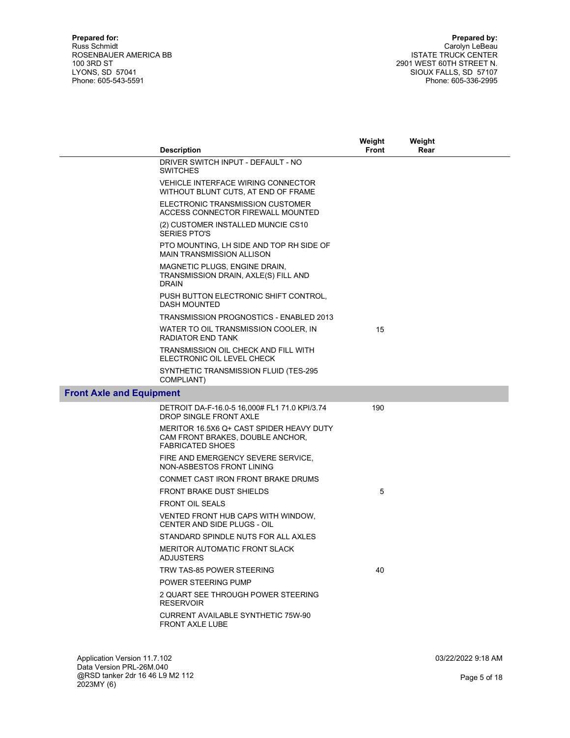|                                 | <b>Description</b>                                                                                      | Weight<br><b>Front</b> | Weight<br>Rear |  |
|---------------------------------|---------------------------------------------------------------------------------------------------------|------------------------|----------------|--|
|                                 | DRIVER SWITCH INPUT - DEFAULT - NO<br><b>SWITCHES</b>                                                   |                        |                |  |
|                                 | <b>VEHICLE INTERFACE WIRING CONNECTOR</b><br>WITHOUT BLUNT CUTS, AT END OF FRAME                        |                        |                |  |
|                                 | ELECTRONIC TRANSMISSION CUSTOMER<br>ACCESS CONNECTOR FIREWALL MOUNTED                                   |                        |                |  |
|                                 | (2) CUSTOMER INSTALLED MUNCIE CS10<br><b>SERIES PTO'S</b>                                               |                        |                |  |
|                                 | PTO MOUNTING, LH SIDE AND TOP RH SIDE OF<br><b>MAIN TRANSMISSION ALLISON</b>                            |                        |                |  |
|                                 | MAGNETIC PLUGS, ENGINE DRAIN,<br>TRANSMISSION DRAIN, AXLE(S) FILL AND<br><b>DRAIN</b>                   |                        |                |  |
|                                 | PUSH BUTTON ELECTRONIC SHIFT CONTROL,<br><b>DASH MOUNTED</b>                                            |                        |                |  |
|                                 | TRANSMISSION PROGNOSTICS - ENABLED 2013                                                                 |                        |                |  |
|                                 | WATER TO OIL TRANSMISSION COOLER, IN<br>RADIATOR END TANK                                               | 15                     |                |  |
|                                 | TRANSMISSION OIL CHECK AND FILL WITH<br>ELECTRONIC OIL LEVEL CHECK                                      |                        |                |  |
|                                 | SYNTHETIC TRANSMISSION FLUID (TES-295<br>COMPLIANT)                                                     |                        |                |  |
| <b>Front Axle and Equipment</b> |                                                                                                         |                        |                |  |
|                                 | DETROIT DA-F-16.0-5 16,000# FL1 71.0 KPI/3.74<br><b>DROP SINGLE FRONT AXLE</b>                          | 190                    |                |  |
|                                 | MERITOR 16.5X6 Q+ CAST SPIDER HEAVY DUTY<br>CAM FRONT BRAKES, DOUBLE ANCHOR,<br><b>FABRICATED SHOES</b> |                        |                |  |
|                                 | FIRE AND EMERGENCY SEVERE SERVICE,<br>NON-ASBESTOS FRONT LINING                                         |                        |                |  |
|                                 | CONMET CAST IRON FRONT BRAKE DRUMS                                                                      |                        |                |  |
|                                 | <b>FRONT BRAKE DUST SHIELDS</b>                                                                         | 5                      |                |  |
|                                 | <b>FRONT OIL SEALS</b>                                                                                  |                        |                |  |
|                                 | VENTED FRONT HUB CAPS WITH WINDOW,<br><b>CENTER AND SIDE PLUGS - OIL</b>                                |                        |                |  |
|                                 | STANDARD SPINDLE NUTS FOR ALL AXLES                                                                     |                        |                |  |
|                                 | <b>MERITOR AUTOMATIC FRONT SLACK</b><br><b>ADJUSTERS</b>                                                |                        |                |  |
|                                 | TRW TAS-85 POWER STEERING                                                                               | 40                     |                |  |
|                                 | POWER STEERING PUMP                                                                                     |                        |                |  |
|                                 | 2 QUART SEE THROUGH POWER STEERING<br><b>RESERVOIR</b>                                                  |                        |                |  |
|                                 | <b>CURRENT AVAILABLE SYNTHETIC 75W-90</b><br><b>FRONT AXLE LUBE</b>                                     |                        |                |  |
|                                 |                                                                                                         |                        |                |  |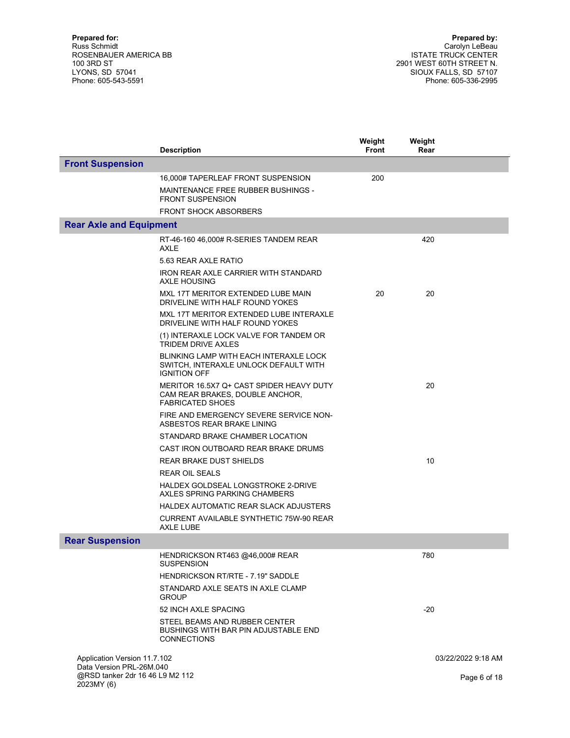|                                                                           | <b>Description</b>                                                                                            | Weight<br><b>Front</b> | Weight<br>Rear |                    |
|---------------------------------------------------------------------------|---------------------------------------------------------------------------------------------------------------|------------------------|----------------|--------------------|
| <b>Front Suspension</b>                                                   |                                                                                                               |                        |                |                    |
|                                                                           | 16,000# TAPERLEAF FRONT SUSPENSION                                                                            | 200                    |                |                    |
|                                                                           | MAINTENANCE FREE RUBBER BUSHINGS -<br><b>FRONT SUSPENSION</b>                                                 |                        |                |                    |
|                                                                           | <b>FRONT SHOCK ABSORBERS</b>                                                                                  |                        |                |                    |
| <b>Rear Axle and Equipment</b>                                            |                                                                                                               |                        |                |                    |
|                                                                           | RT-46-160 46,000# R-SERIES TANDEM REAR<br>AXLE                                                                |                        | 420            |                    |
|                                                                           | 5.63 REAR AXLE RATIO                                                                                          |                        |                |                    |
|                                                                           | IRON REAR AXLE CARRIER WITH STANDARD<br><b>AXLE HOUSING</b>                                                   |                        |                |                    |
|                                                                           | MXL 17T MERITOR EXTENDED LUBE MAIN<br>DRIVELINE WITH HALF ROUND YOKES                                         | 20                     | 20             |                    |
|                                                                           | MXL 17T MERITOR EXTENDED LUBE INTERAXLE<br>DRIVELINE WITH HALF ROUND YOKES                                    |                        |                |                    |
|                                                                           | (1) INTERAXLE LOCK VALVE FOR TANDEM OR<br><b>TRIDEM DRIVE AXLES</b>                                           |                        |                |                    |
|                                                                           | <b>BLINKING LAMP WITH EACH INTERAXLE LOCK</b><br>SWITCH, INTERAXLE UNLOCK DEFAULT WITH<br><b>IGNITION OFF</b> |                        |                |                    |
|                                                                           | MERITOR 16.5X7 Q+ CAST SPIDER HEAVY DUTY<br>CAM REAR BRAKES, DOUBLE ANCHOR,<br><b>FABRICATED SHOES</b>        |                        | 20             |                    |
|                                                                           | FIRE AND EMERGENCY SEVERE SERVICE NON-<br>ASBESTOS REAR BRAKE LINING                                          |                        |                |                    |
|                                                                           | STANDARD BRAKE CHAMBER LOCATION                                                                               |                        |                |                    |
|                                                                           | CAST IRON OUTBOARD REAR BRAKE DRUMS                                                                           |                        |                |                    |
|                                                                           | REAR BRAKE DUST SHIELDS                                                                                       |                        | 10             |                    |
|                                                                           | <b>REAR OIL SEALS</b>                                                                                         |                        |                |                    |
|                                                                           | HALDEX GOLDSEAL LONGSTROKE 2-DRIVE<br>AXLES SPRING PARKING CHAMBERS                                           |                        |                |                    |
|                                                                           | HALDEX AUTOMATIC REAR SLACK ADJUSTERS                                                                         |                        |                |                    |
|                                                                           | <b>CURRENT AVAILABLE SYNTHETIC 75W-90 REAR</b><br>AXLE LUBE                                                   |                        |                |                    |
| <b>Rear Suspension</b>                                                    |                                                                                                               |                        |                |                    |
|                                                                           | HENDRICKSON RT463 @46,000# REAR<br><b>SUSPENSION</b>                                                          |                        | 780            |                    |
|                                                                           | HENDRICKSON RT/RTE - 7.19" SADDLE                                                                             |                        |                |                    |
|                                                                           | STANDARD AXLE SEATS IN AXLE CLAMP<br><b>GROUP</b>                                                             |                        |                |                    |
|                                                                           | 52 INCH AXLE SPACING                                                                                          |                        | $-20$          |                    |
|                                                                           | STEEL BEAMS AND RUBBER CENTER<br>BUSHINGS WITH BAR PIN ADJUSTABLE END<br><b>CONNECTIONS</b>                   |                        |                |                    |
| Application Version 11.7.102                                              |                                                                                                               |                        |                | 03/22/2022 9:18 AM |
| Data Version PRL-26M.040<br>@RSD tanker 2dr 16 46 L9 M2 112<br>2023MY (6) |                                                                                                               |                        |                | Page 6 of 18       |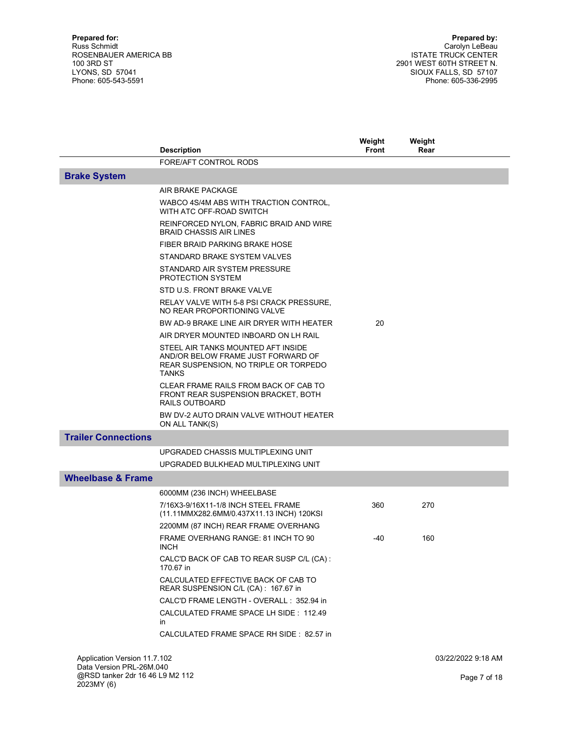|                                                                           | <b>Description</b>                                                                                                                | Weight<br>Front | Weight<br>Rear     |  |
|---------------------------------------------------------------------------|-----------------------------------------------------------------------------------------------------------------------------------|-----------------|--------------------|--|
|                                                                           | FORE/AFT CONTROL RODS                                                                                                             |                 |                    |  |
| <b>Brake System</b>                                                       |                                                                                                                                   |                 |                    |  |
|                                                                           | AIR BRAKE PACKAGE                                                                                                                 |                 |                    |  |
|                                                                           | WABCO 4S/4M ABS WITH TRACTION CONTROL,<br>WITH ATC OFF-ROAD SWITCH                                                                |                 |                    |  |
|                                                                           | REINFORCED NYLON, FABRIC BRAID AND WIRE<br><b>BRAID CHASSIS AIR LINES</b>                                                         |                 |                    |  |
|                                                                           | FIBER BRAID PARKING BRAKE HOSE                                                                                                    |                 |                    |  |
|                                                                           | STANDARD BRAKE SYSTEM VALVES                                                                                                      |                 |                    |  |
|                                                                           | STANDARD AIR SYSTEM PRESSURE<br>PROTECTION SYSTEM                                                                                 |                 |                    |  |
|                                                                           | STD U.S. FRONT BRAKE VALVE                                                                                                        |                 |                    |  |
|                                                                           | RELAY VALVE WITH 5-8 PSI CRACK PRESSURE.<br>NO REAR PROPORTIONING VALVE                                                           |                 |                    |  |
|                                                                           | BW AD-9 BRAKE LINE AIR DRYER WITH HEATER                                                                                          | 20              |                    |  |
|                                                                           | AIR DRYER MOUNTED INBOARD ON LH RAIL                                                                                              |                 |                    |  |
|                                                                           | STEEL AIR TANKS MOUNTED AFT INSIDE<br>AND/OR BELOW FRAME JUST FORWARD OF<br>REAR SUSPENSION, NO TRIPLE OR TORPEDO<br><b>TANKS</b> |                 |                    |  |
|                                                                           | CLEAR FRAME RAILS FROM BACK OF CAB TO<br>FRONT REAR SUSPENSION BRACKET, BOTH<br>RAILS OUTBOARD                                    |                 |                    |  |
|                                                                           | BW DV-2 AUTO DRAIN VALVE WITHOUT HEATER<br>ON ALL TANK(S)                                                                         |                 |                    |  |
| <b>Trailer Connections</b>                                                |                                                                                                                                   |                 |                    |  |
|                                                                           | UPGRADED CHASSIS MULTIPLEXING UNIT                                                                                                |                 |                    |  |
|                                                                           | UPGRADED BULKHEAD MULTIPLEXING UNIT                                                                                               |                 |                    |  |
| <b>Wheelbase &amp; Frame</b>                                              |                                                                                                                                   |                 |                    |  |
|                                                                           | 6000MM (236 INCH) WHEELBASE                                                                                                       |                 |                    |  |
|                                                                           | 7/16X3-9/16X11-1/8 INCH STEEL FRAME<br>(11.11MMX282.6MM/0.437X11.13 INCH) 120KSI                                                  | 360             | 270                |  |
|                                                                           | 2200MM (87 INCH) REAR FRAME OVERHANG                                                                                              |                 |                    |  |
|                                                                           | FRAME OVERHANG RANGE: 81 INCH TO 90<br><b>INCH</b>                                                                                | -40             | 160                |  |
|                                                                           | CALC'D BACK OF CAB TO REAR SUSP C/L (CA):<br>170.67 in                                                                            |                 |                    |  |
|                                                                           | CALCULATED EFFECTIVE BACK OF CAB TO<br>REAR SUSPENSION C/L (CA): 167.67 in                                                        |                 |                    |  |
|                                                                           | CALC'D FRAME LENGTH - OVERALL: 352.94 in                                                                                          |                 |                    |  |
|                                                                           | CALCULATED FRAME SPACE LH SIDE: 112.49<br>in                                                                                      |                 |                    |  |
|                                                                           | CALCULATED FRAME SPACE RH SIDE: 82.57 in                                                                                          |                 |                    |  |
| Application Version 11.7.102                                              |                                                                                                                                   |                 | 03/22/2022 9:18 AM |  |
| Data Version PRL-26M.040<br>@RSD tanker 2dr 16 46 L9 M2 112<br>2023MY (6) |                                                                                                                                   |                 | Page 7 of 18       |  |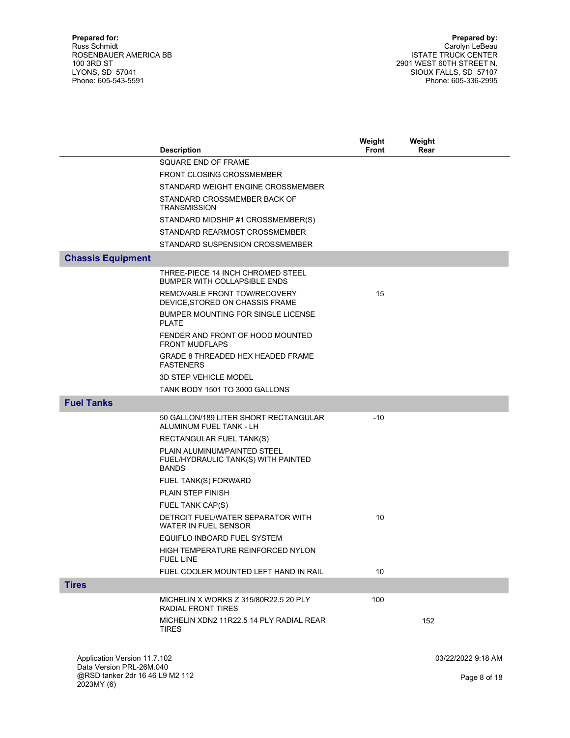|                                                          |                                                                                     | Weight | Weight             |
|----------------------------------------------------------|-------------------------------------------------------------------------------------|--------|--------------------|
|                                                          | <b>Description</b>                                                                  | Front  | Rear               |
|                                                          | SQUARE END OF FRAME                                                                 |        |                    |
|                                                          | <b>FRONT CLOSING CROSSMEMBER</b>                                                    |        |                    |
|                                                          | STANDARD WEIGHT ENGINE CROSSMEMBER                                                  |        |                    |
|                                                          | STANDARD CROSSMEMBER BACK OF<br><b>TRANSMISSION</b>                                 |        |                    |
|                                                          | STANDARD MIDSHIP #1 CROSSMEMBER(S)                                                  |        |                    |
|                                                          | STANDARD REARMOST CROSSMEMBER                                                       |        |                    |
|                                                          | STANDARD SUSPENSION CROSSMEMBER                                                     |        |                    |
| <b>Chassis Equipment</b>                                 |                                                                                     |        |                    |
|                                                          | THREE-PIECE 14 INCH CHROMED STEEL<br><b>BUMPER WITH COLLAPSIBLE ENDS</b>            |        |                    |
|                                                          | REMOVABLE FRONT TOW/RECOVERY<br>DEVICE, STORED ON CHASSIS FRAME                     | 15     |                    |
|                                                          | BUMPER MOUNTING FOR SINGLE LICENSE<br><b>PLATE</b>                                  |        |                    |
|                                                          | FENDER AND FRONT OF HOOD MOUNTED<br><b>FRONT MUDFLAPS</b>                           |        |                    |
|                                                          | GRADE 8 THREADED HEX HEADED FRAME<br><b>FASTENERS</b>                               |        |                    |
|                                                          | <b>3D STEP VEHICLE MODEL</b>                                                        |        |                    |
|                                                          | TANK BODY 1501 TO 3000 GALLONS                                                      |        |                    |
| <b>Fuel Tanks</b>                                        |                                                                                     |        |                    |
|                                                          | 50 GALLON/189 LITER SHORT RECTANGULAR                                               | $-10$  |                    |
|                                                          | ALUMINUM FUEL TANK - LH                                                             |        |                    |
|                                                          | RECTANGULAR FUEL TANK(S)                                                            |        |                    |
|                                                          | PLAIN ALUMINUM/PAINTED STEEL<br>FUEL/HYDRAULIC TANK(S) WITH PAINTED<br><b>BANDS</b> |        |                    |
|                                                          | FUEL TANK(S) FORWARD                                                                |        |                    |
|                                                          | <b>PLAIN STEP FINISH</b>                                                            |        |                    |
|                                                          | FUEL TANK CAP(S)                                                                    |        |                    |
|                                                          | DETROIT FUEL/WATER SEPARATOR WITH<br><b>WATER IN FUEL SENSOR</b>                    | 10     |                    |
|                                                          | EQUIFLO INBOARD FUEL SYSTEM                                                         |        |                    |
|                                                          | HIGH TEMPERATURE REINFORCED NYLON<br><b>FUEL LINE</b>                               |        |                    |
|                                                          | FUEL COOLER MOUNTED LEFT HAND IN RAIL                                               | 10     |                    |
| <b>Tires</b>                                             |                                                                                     |        |                    |
|                                                          | MICHELIN X WORKS Z 315/80R22.5 20 PLY<br>RADIAL FRONT TIRES                         | 100    |                    |
|                                                          | MICHELIN XDN2 11R22.5 14 PLY RADIAL REAR<br><b>TIRES</b>                            |        | 152                |
|                                                          |                                                                                     |        |                    |
| Application Version 11.7.102<br>Data Version PRL-26M.040 |                                                                                     |        | 03/22/2022 9:18 AM |
| @RSD tanker 2dr 16 46 L9 M2 112<br>2023MY (6)            |                                                                                     |        | Page 8 of 18       |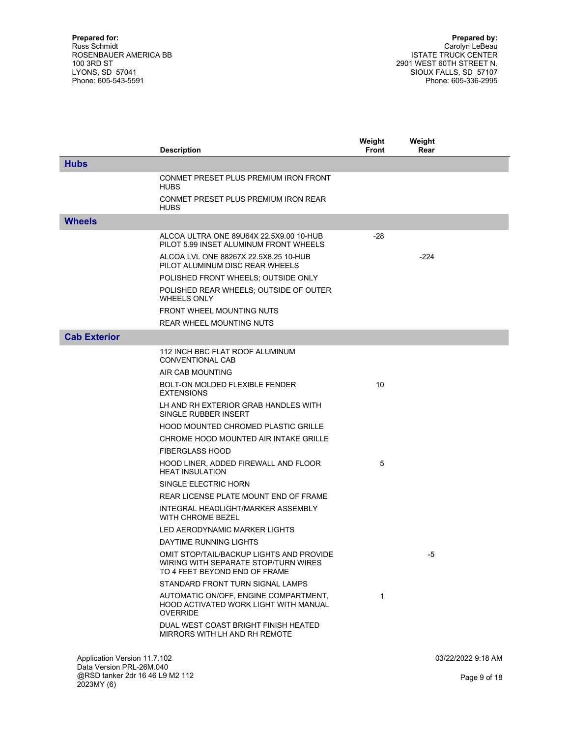|                                                          | <b>Description</b>                                                                                                | Weight<br><b>Front</b> | Weight<br>Rear |                    |
|----------------------------------------------------------|-------------------------------------------------------------------------------------------------------------------|------------------------|----------------|--------------------|
| <b>Hubs</b>                                              |                                                                                                                   |                        |                |                    |
|                                                          | CONMET PRESET PLUS PREMIUM IRON FRONT<br><b>HUBS</b>                                                              |                        |                |                    |
|                                                          | CONMET PRESET PLUS PREMIUM IRON REAR<br><b>HUBS</b>                                                               |                        |                |                    |
| <b>Wheels</b>                                            |                                                                                                                   |                        |                |                    |
|                                                          | ALCOA ULTRA ONE 89U64X 22.5X9.00 10-HUB<br>PILOT 5.99 INSET ALUMINUM FRONT WHEELS                                 | $-28$                  |                |                    |
|                                                          | ALCOA LVL ONE 88267X 22.5X8.25 10-HUB<br>PILOT ALUMINUM DISC REAR WHEELS                                          |                        | $-224$         |                    |
|                                                          | POLISHED FRONT WHEELS; OUTSIDE ONLY                                                                               |                        |                |                    |
|                                                          | POLISHED REAR WHEELS; OUTSIDE OF OUTER<br><b>WHEELS ONLY</b>                                                      |                        |                |                    |
|                                                          | FRONT WHEEL MOUNTING NUTS                                                                                         |                        |                |                    |
|                                                          | <b>REAR WHEEL MOUNTING NUTS</b>                                                                                   |                        |                |                    |
| <b>Cab Exterior</b>                                      |                                                                                                                   |                        |                |                    |
|                                                          | 112 INCH BBC FLAT ROOF ALUMINUM<br>CONVENTIONAL CAB                                                               |                        |                |                    |
|                                                          | AIR CAB MOUNTING                                                                                                  |                        |                |                    |
|                                                          | BOLT-ON MOLDED FLEXIBLE FENDER<br><b>EXTENSIONS</b>                                                               | 10                     |                |                    |
|                                                          | LH AND RH EXTERIOR GRAB HANDLES WITH<br>SINGLE RUBBER INSERT                                                      |                        |                |                    |
|                                                          | <b>HOOD MOUNTED CHROMED PLASTIC GRILLE</b>                                                                        |                        |                |                    |
|                                                          | CHROME HOOD MOUNTED AIR INTAKE GRILLE                                                                             |                        |                |                    |
|                                                          | <b>FIBERGLASS HOOD</b>                                                                                            |                        |                |                    |
|                                                          | HOOD LINER, ADDED FIREWALL AND FLOOR<br><b>HEAT INSULATION</b>                                                    | 5                      |                |                    |
|                                                          | SINGLE ELECTRIC HORN                                                                                              |                        |                |                    |
|                                                          | REAR LICENSE PLATE MOUNT END OF FRAME                                                                             |                        |                |                    |
|                                                          | INTEGRAL HEADLIGHT/MARKER ASSEMBLY<br>WITH CHROME BEZEL                                                           |                        |                |                    |
|                                                          | LED AERODYNAMIC MARKER LIGHTS                                                                                     |                        |                |                    |
|                                                          | DAYTIME RUNNING LIGHTS                                                                                            |                        |                |                    |
|                                                          | OMIT STOP/TAIL/BACKUP LIGHTS AND PROVIDE<br>WIRING WITH SEPARATE STOP/TURN WIRES<br>TO 4 FEET BEYOND END OF FRAME |                        | -5             |                    |
|                                                          | STANDARD FRONT TURN SIGNAL LAMPS                                                                                  |                        |                |                    |
|                                                          | AUTOMATIC ON/OFF, ENGINE COMPARTMENT,<br>HOOD ACTIVATED WORK LIGHT WITH MANUAL<br><b>OVERRIDE</b>                 | $\mathbf{1}$           |                |                    |
|                                                          | DUAL WEST COAST BRIGHT FINISH HEATED<br>MIRRORS WITH LH AND RH REMOTE                                             |                        |                |                    |
| Application Version 11.7.102<br>Data Version PRL-26M.040 |                                                                                                                   |                        |                | 03/22/2022 9:18 AM |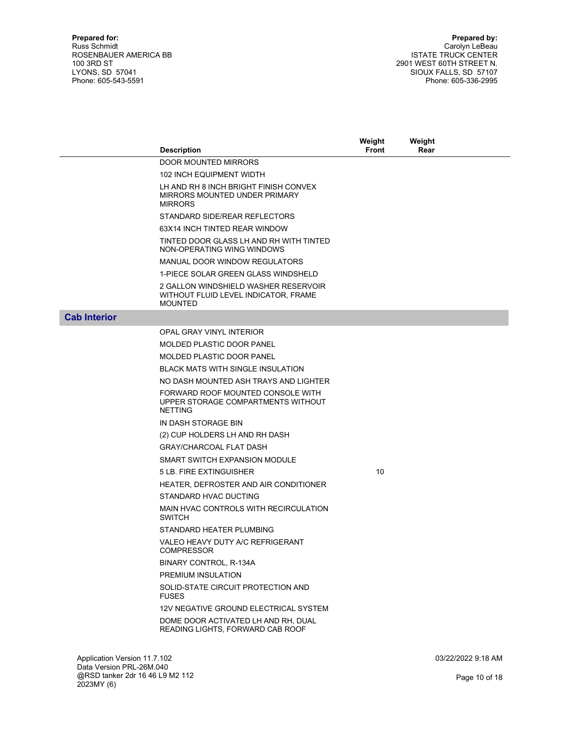| DOOR MOUNTED MIRRORS<br><b>102 INCH EQUIPMENT WIDTH</b><br>LH AND RH 8 INCH BRIGHT FINISH CONVEX<br>MIRRORS MOUNTED UNDER PRIMARY<br><b>MIRRORS</b><br>STANDARD SIDE/REAR REFLECTORS<br>63X14 INCH TINTED REAR WINDOW<br>TINTED DOOR GLASS LH AND RH WITH TINTED<br>NON-OPERATING WING WINDOWS<br>MANUAL DOOR WINDOW REGULATORS<br>1-PIECE SOLAR GREEN GLASS WINDSHELD<br>2 GALLON WINDSHIELD WASHER RESERVOIR<br>WITHOUT FLUID LEVEL INDICATOR, FRAME<br><b>MOUNTED</b><br><b>Cab Interior</b><br><b>OPAL GRAY VINYL INTERIOR</b><br><b>MOLDED PLASTIC DOOR PANEL</b><br><b>MOLDED PLASTIC DOOR PANEL</b><br><b>BLACK MATS WITH SINGLE INSULATION</b><br>NO DASH MOUNTED ASH TRAYS AND LIGHTER<br>FORWARD ROOF MOUNTED CONSOLE WITH<br>UPPER STORAGE COMPARTMENTS WITHOUT<br><b>NETTING</b><br>IN DASH STORAGE BIN<br>(2) CUP HOLDERS LH AND RH DASH<br><b>GRAY/CHARCOAL FLAT DASH</b><br>SMART SWITCH EXPANSION MODULE<br>10<br>5 LB. FIRE EXTINGUISHER<br>HEATER, DEFROSTER AND AIR CONDITIONER<br>STANDARD HVAC DUCTING<br>MAIN HVAC CONTROLS WITH RECIRCULATION<br><b>SWITCH</b><br>STANDARD HEATER PLUMBING | <b>Description</b>               | Weight<br><b>Front</b> | Weight<br>Rear |  |
|-------------------------------------------------------------------------------------------------------------------------------------------------------------------------------------------------------------------------------------------------------------------------------------------------------------------------------------------------------------------------------------------------------------------------------------------------------------------------------------------------------------------------------------------------------------------------------------------------------------------------------------------------------------------------------------------------------------------------------------------------------------------------------------------------------------------------------------------------------------------------------------------------------------------------------------------------------------------------------------------------------------------------------------------------------------------------------------------------------------------|----------------------------------|------------------------|----------------|--|
|                                                                                                                                                                                                                                                                                                                                                                                                                                                                                                                                                                                                                                                                                                                                                                                                                                                                                                                                                                                                                                                                                                                   |                                  |                        |                |  |
|                                                                                                                                                                                                                                                                                                                                                                                                                                                                                                                                                                                                                                                                                                                                                                                                                                                                                                                                                                                                                                                                                                                   |                                  |                        |                |  |
|                                                                                                                                                                                                                                                                                                                                                                                                                                                                                                                                                                                                                                                                                                                                                                                                                                                                                                                                                                                                                                                                                                                   |                                  |                        |                |  |
|                                                                                                                                                                                                                                                                                                                                                                                                                                                                                                                                                                                                                                                                                                                                                                                                                                                                                                                                                                                                                                                                                                                   |                                  |                        |                |  |
|                                                                                                                                                                                                                                                                                                                                                                                                                                                                                                                                                                                                                                                                                                                                                                                                                                                                                                                                                                                                                                                                                                                   |                                  |                        |                |  |
|                                                                                                                                                                                                                                                                                                                                                                                                                                                                                                                                                                                                                                                                                                                                                                                                                                                                                                                                                                                                                                                                                                                   |                                  |                        |                |  |
|                                                                                                                                                                                                                                                                                                                                                                                                                                                                                                                                                                                                                                                                                                                                                                                                                                                                                                                                                                                                                                                                                                                   |                                  |                        |                |  |
|                                                                                                                                                                                                                                                                                                                                                                                                                                                                                                                                                                                                                                                                                                                                                                                                                                                                                                                                                                                                                                                                                                                   |                                  |                        |                |  |
|                                                                                                                                                                                                                                                                                                                                                                                                                                                                                                                                                                                                                                                                                                                                                                                                                                                                                                                                                                                                                                                                                                                   |                                  |                        |                |  |
|                                                                                                                                                                                                                                                                                                                                                                                                                                                                                                                                                                                                                                                                                                                                                                                                                                                                                                                                                                                                                                                                                                                   |                                  |                        |                |  |
|                                                                                                                                                                                                                                                                                                                                                                                                                                                                                                                                                                                                                                                                                                                                                                                                                                                                                                                                                                                                                                                                                                                   |                                  |                        |                |  |
|                                                                                                                                                                                                                                                                                                                                                                                                                                                                                                                                                                                                                                                                                                                                                                                                                                                                                                                                                                                                                                                                                                                   |                                  |                        |                |  |
|                                                                                                                                                                                                                                                                                                                                                                                                                                                                                                                                                                                                                                                                                                                                                                                                                                                                                                                                                                                                                                                                                                                   |                                  |                        |                |  |
|                                                                                                                                                                                                                                                                                                                                                                                                                                                                                                                                                                                                                                                                                                                                                                                                                                                                                                                                                                                                                                                                                                                   |                                  |                        |                |  |
|                                                                                                                                                                                                                                                                                                                                                                                                                                                                                                                                                                                                                                                                                                                                                                                                                                                                                                                                                                                                                                                                                                                   |                                  |                        |                |  |
|                                                                                                                                                                                                                                                                                                                                                                                                                                                                                                                                                                                                                                                                                                                                                                                                                                                                                                                                                                                                                                                                                                                   |                                  |                        |                |  |
|                                                                                                                                                                                                                                                                                                                                                                                                                                                                                                                                                                                                                                                                                                                                                                                                                                                                                                                                                                                                                                                                                                                   |                                  |                        |                |  |
|                                                                                                                                                                                                                                                                                                                                                                                                                                                                                                                                                                                                                                                                                                                                                                                                                                                                                                                                                                                                                                                                                                                   |                                  |                        |                |  |
|                                                                                                                                                                                                                                                                                                                                                                                                                                                                                                                                                                                                                                                                                                                                                                                                                                                                                                                                                                                                                                                                                                                   |                                  |                        |                |  |
|                                                                                                                                                                                                                                                                                                                                                                                                                                                                                                                                                                                                                                                                                                                                                                                                                                                                                                                                                                                                                                                                                                                   |                                  |                        |                |  |
|                                                                                                                                                                                                                                                                                                                                                                                                                                                                                                                                                                                                                                                                                                                                                                                                                                                                                                                                                                                                                                                                                                                   |                                  |                        |                |  |
|                                                                                                                                                                                                                                                                                                                                                                                                                                                                                                                                                                                                                                                                                                                                                                                                                                                                                                                                                                                                                                                                                                                   |                                  |                        |                |  |
|                                                                                                                                                                                                                                                                                                                                                                                                                                                                                                                                                                                                                                                                                                                                                                                                                                                                                                                                                                                                                                                                                                                   |                                  |                        |                |  |
|                                                                                                                                                                                                                                                                                                                                                                                                                                                                                                                                                                                                                                                                                                                                                                                                                                                                                                                                                                                                                                                                                                                   |                                  |                        |                |  |
|                                                                                                                                                                                                                                                                                                                                                                                                                                                                                                                                                                                                                                                                                                                                                                                                                                                                                                                                                                                                                                                                                                                   |                                  |                        |                |  |
| <b>COMPRESSOR</b>                                                                                                                                                                                                                                                                                                                                                                                                                                                                                                                                                                                                                                                                                                                                                                                                                                                                                                                                                                                                                                                                                                 | VALEO HEAVY DUTY A/C REFRIGERANT |                        |                |  |
| BINARY CONTROL, R-134A                                                                                                                                                                                                                                                                                                                                                                                                                                                                                                                                                                                                                                                                                                                                                                                                                                                                                                                                                                                                                                                                                            |                                  |                        |                |  |
| PREMIUM INSULATION                                                                                                                                                                                                                                                                                                                                                                                                                                                                                                                                                                                                                                                                                                                                                                                                                                                                                                                                                                                                                                                                                                |                                  |                        |                |  |
| SOLID-STATE CIRCUIT PROTECTION AND<br><b>FUSES</b>                                                                                                                                                                                                                                                                                                                                                                                                                                                                                                                                                                                                                                                                                                                                                                                                                                                                                                                                                                                                                                                                |                                  |                        |                |  |
| 12V NEGATIVE GROUND ELECTRICAL SYSTEM                                                                                                                                                                                                                                                                                                                                                                                                                                                                                                                                                                                                                                                                                                                                                                                                                                                                                                                                                                                                                                                                             |                                  |                        |                |  |
| DOME DOOR ACTIVATED LH AND RH, DUAL<br>READING LIGHTS, FORWARD CAB ROOF                                                                                                                                                                                                                                                                                                                                                                                                                                                                                                                                                                                                                                                                                                                                                                                                                                                                                                                                                                                                                                           |                                  |                        |                |  |

Application Version 11.7.102 Data Version PRL-26M.040 @RSD tanker 2dr 16 46 L9 M2 112 2023MY (6)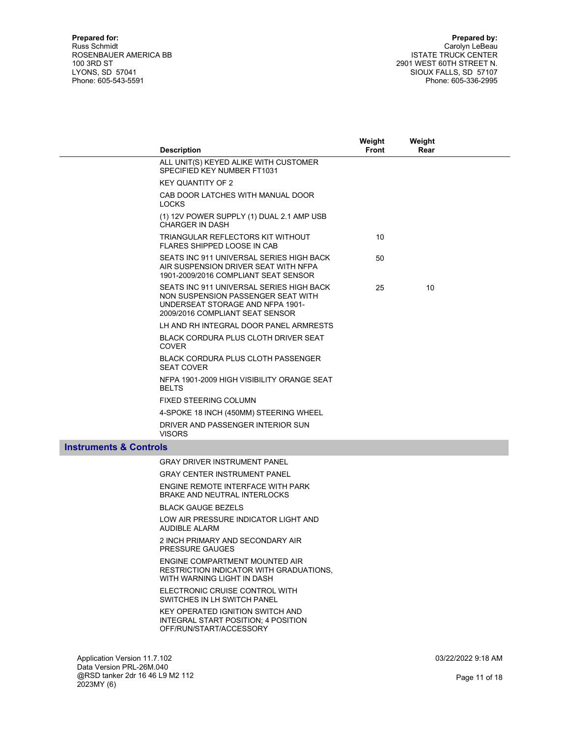|                                   | <b>Description</b>                                                                                                                                    | Weight<br><b>Front</b> | Weight<br>Rear |  |
|-----------------------------------|-------------------------------------------------------------------------------------------------------------------------------------------------------|------------------------|----------------|--|
|                                   | ALL UNIT(S) KEYED ALIKE WITH CUSTOMER<br>SPECIFIED KEY NUMBER FT1031                                                                                  |                        |                |  |
|                                   | <b>KEY QUANTITY OF 2</b>                                                                                                                              |                        |                |  |
|                                   | CAB DOOR LATCHES WITH MANUAL DOOR<br><b>LOCKS</b>                                                                                                     |                        |                |  |
|                                   | (1) 12V POWER SUPPLY (1) DUAL 2.1 AMP USB<br><b>CHARGER IN DASH</b>                                                                                   |                        |                |  |
|                                   | TRIANGULAR REFLECTORS KIT WITHOUT<br>FLARES SHIPPED LOOSE IN CAB                                                                                      | 10 <sup>1</sup>        |                |  |
|                                   | SEATS INC 911 UNIVERSAL SERIES HIGH BACK<br>AIR SUSPENSION DRIVER SEAT WITH NFPA<br>1901-2009/2016 COMPLIANT SEAT SENSOR                              | 50                     |                |  |
|                                   | SEATS INC 911 UNIVERSAL SERIES HIGH BACK<br>NON SUSPENSION PASSENGER SEAT WITH<br>UNDERSEAT STORAGE AND NFPA 1901-<br>2009/2016 COMPLIANT SEAT SENSOR | 25                     | 10             |  |
|                                   | LH AND RH INTEGRAL DOOR PANEL ARMRESTS                                                                                                                |                        |                |  |
|                                   | BLACK CORDURA PLUS CLOTH DRIVER SEAT<br><b>COVER</b>                                                                                                  |                        |                |  |
|                                   | BLACK CORDURA PLUS CLOTH PASSENGER<br><b>SEAT COVER</b>                                                                                               |                        |                |  |
|                                   | NFPA 1901-2009 HIGH VISIBILITY ORANGE SEAT<br><b>BELTS</b>                                                                                            |                        |                |  |
|                                   | FIXED STEERING COLUMN                                                                                                                                 |                        |                |  |
|                                   | 4-SPOKE 18 INCH (450MM) STEERING WHEEL                                                                                                                |                        |                |  |
|                                   | DRIVER AND PASSENGER INTERIOR SUN<br><b>VISORS</b>                                                                                                    |                        |                |  |
| <b>Instruments &amp; Controls</b> |                                                                                                                                                       |                        |                |  |
|                                   | <b>GRAY DRIVER INSTRUMENT PANEL</b>                                                                                                                   |                        |                |  |
|                                   | <b>GRAY CENTER INSTRUMENT PANEL</b>                                                                                                                   |                        |                |  |
|                                   | ENGINE REMOTE INTERFACE WITH PARK<br><b>BRAKE AND NEUTRAL INTERLOCKS</b>                                                                              |                        |                |  |
|                                   | <b>BLACK GAUGE BEZELS</b>                                                                                                                             |                        |                |  |
|                                   | LOW AIR PRESSURE INDICATOR LIGHT AND<br><b>AUDIBLE ALARM</b>                                                                                          |                        |                |  |
|                                   | 2 INCH PRIMARY AND SECONDARY AIR<br><b>PRESSURE GAUGES</b>                                                                                            |                        |                |  |
|                                   | ENGINE COMPARTMENT MOUNTED AIR<br>RESTRICTION INDICATOR WITH GRADUATIONS.<br>WITH WARNING LIGHT IN DASH                                               |                        |                |  |
|                                   | ELECTRONIC CRUISE CONTROL WITH<br>SWITCHES IN LH SWITCH PANEL                                                                                         |                        |                |  |
|                                   | <b>VEV ODEDATED IONITION CWITCH AND</b>                                                                                                               |                        |                |  |

 KEY OPERATED IGNITION SWITCH AND INTEGRAL START POSITION; 4 POSITION OFF/RUN/START/ACCESSORY

Application Version 11.7.102 Data Version PRL-26M.040 @RSD tanker 2dr 16 46 L9 M2 112 2023MY (6)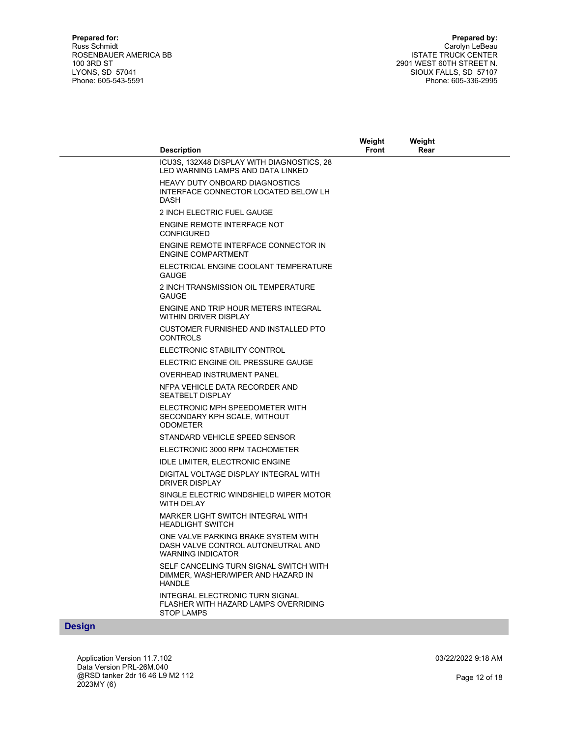|                                   |                                                                                                       | Weight       | Weight |  |
|-----------------------------------|-------------------------------------------------------------------------------------------------------|--------------|--------|--|
|                                   | <b>Description</b>                                                                                    | <b>Front</b> | Rear   |  |
|                                   | ICU3S, 132X48 DISPLAY WITH DIAGNOSTICS, 28<br>LED WARNING LAMPS AND DATA LINKED                       |              |        |  |
|                                   | <b>HEAVY DUTY ONBOARD DIAGNOSTICS</b><br>INTERFACE CONNECTOR LOCATED BELOW LH<br><b>DASH</b>          |              |        |  |
|                                   | 2 INCH ELECTRIC FUEL GAUGE                                                                            |              |        |  |
|                                   | ENGINE REMOTE INTERFACE NOT<br><b>CONFIGURED</b>                                                      |              |        |  |
|                                   | ENGINE REMOTE INTERFACE CONNECTOR IN<br><b>ENGINE COMPARTMENT</b>                                     |              |        |  |
|                                   | ELECTRICAL ENGINE COOLANT TEMPERATURE<br><b>GAUGE</b>                                                 |              |        |  |
|                                   | 2 INCH TRANSMISSION OIL TEMPERATURE<br><b>GAUGE</b>                                                   |              |        |  |
|                                   | ENGINE AND TRIP HOUR METERS INTEGRAL<br>WITHIN DRIVER DISPLAY                                         |              |        |  |
|                                   | CUSTOMER FURNISHED AND INSTALLED PTO<br><b>CONTROLS</b>                                               |              |        |  |
|                                   | ELECTRONIC STABILITY CONTROL                                                                          |              |        |  |
|                                   | ELECTRIC ENGINE OIL PRESSURE GAUGE                                                                    |              |        |  |
|                                   | <b>OVERHEAD INSTRUMENT PANEL</b>                                                                      |              |        |  |
|                                   | NFPA VEHICLE DATA RECORDER AND<br><b>SEATBELT DISPLAY</b>                                             |              |        |  |
|                                   | ELECTRONIC MPH SPEEDOMETER WITH<br>SECONDARY KPH SCALE, WITHOUT<br><b>ODOMETER</b>                    |              |        |  |
|                                   | STANDARD VEHICLE SPEED SENSOR                                                                         |              |        |  |
|                                   | ELECTRONIC 3000 RPM TACHOMETER                                                                        |              |        |  |
|                                   | <b>IDLE LIMITER, ELECTRONIC ENGINE</b>                                                                |              |        |  |
|                                   | DIGITAL VOLTAGE DISPLAY INTEGRAL WITH<br>DRIVER DISPLAY                                               |              |        |  |
|                                   | SINGLE ELECTRIC WINDSHIELD WIPER MOTOR<br>WITH DELAY                                                  |              |        |  |
|                                   | MARKER LIGHT SWITCH INTEGRAL WITH<br><b>HEADLIGHT SWITCH</b>                                          |              |        |  |
|                                   | ONE VALVE PARKING BRAKE SYSTEM WITH<br>DASH VALVE CONTROL AUTONEUTRAL AND<br><b>WARNING INDICATOR</b> |              |        |  |
|                                   | SELF CANCELING TURN SIGNAL SWITCH WITH<br>DIMMER, WASHER/WIPER AND HAZARD IN<br><b>HANDLE</b>         |              |        |  |
|                                   | INTEGRAL ELECTRONIC TURN SIGNAL<br>FLASHER WITH HAZARD LAMPS OVERRIDING<br><b>STOP LAMPS</b>          |              |        |  |
| <b>Contract Contract Contract</b> |                                                                                                       |              |        |  |

#### **Design**

Application Version 11.7.102 Data Version PRL-26M.040 @RSD tanker 2dr 16 46 L9 M2 112 2023MY (6)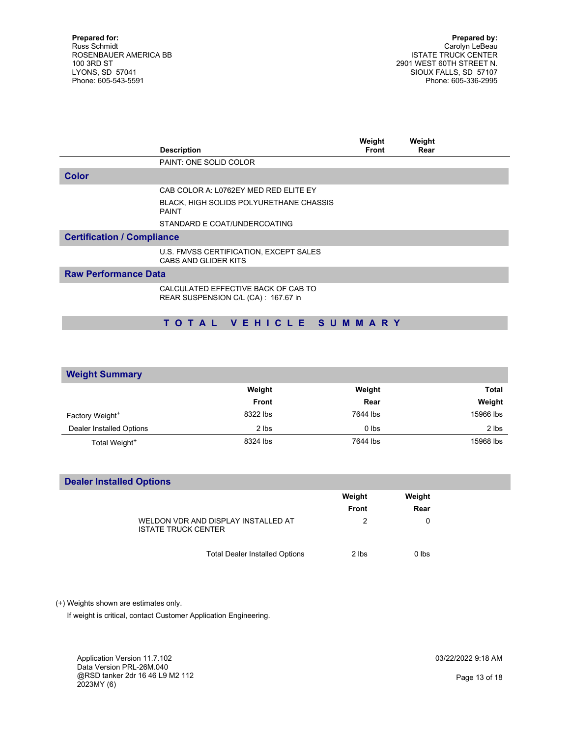|                                   | <b>Description</b>                                                         | Weight<br><b>Front</b> | Weight<br>Rear |  |
|-----------------------------------|----------------------------------------------------------------------------|------------------------|----------------|--|
|                                   | PAINT: ONE SOLID COLOR                                                     |                        |                |  |
| <b>Color</b>                      |                                                                            |                        |                |  |
|                                   | CAB COLOR A: L0762EY MED RED ELITE EY                                      |                        |                |  |
|                                   | BLACK, HIGH SOLIDS POLYURETHANE CHASSIS<br><b>PAINT</b>                    |                        |                |  |
|                                   | STANDARD E COAT/UNDERCOATING                                               |                        |                |  |
| <b>Certification / Compliance</b> |                                                                            |                        |                |  |
|                                   | U.S. FMVSS CERTIFICATION, EXCEPT SALES<br>CABS AND GLIDER KITS             |                        |                |  |
| <b>Raw Performance Data</b>       |                                                                            |                        |                |  |
|                                   | CALCULATED EFFECTIVE BACK OF CAB TO<br>REAR SUSPENSION C/L (CA): 167.67 in |                        |                |  |

## T O T A L V E H I C L E S U M M A R Y

| <b>Weight Summary</b>       |              |          |              |
|-----------------------------|--------------|----------|--------------|
|                             | Weight       | Weight   | <b>Total</b> |
|                             | <b>Front</b> | Rear     | Weight       |
| Factory Weight <sup>+</sup> | 8322 lbs     | 7644 lbs | 15966 lbs    |
| Dealer Installed Options    | 2 lbs        | $0$ lbs  | 2 lbs        |
| Total Weight <sup>+</sup>   | 8324 lbs     | 7644 lbs | 15968 lbs    |

## Dealer Installed Options

|                                                                   | Weight<br><b>Front</b> | Weight<br>Rear |  |
|-------------------------------------------------------------------|------------------------|----------------|--|
| WELDON VDR AND DISPLAY INSTALLED AT<br><b>ISTATE TRUCK CENTER</b> | 2                      | 0              |  |
| <b>Total Dealer Installed Options</b>                             | 2 lbs                  | $0$ lbs        |  |

(+) Weights shown are estimates only.

If weight is critical, contact Customer Application Engineering.

Application Version 11.7.102 Data Version PRL-26M.040 @RSD tanker 2dr 16 46 L9 M2 112 2023MY (6)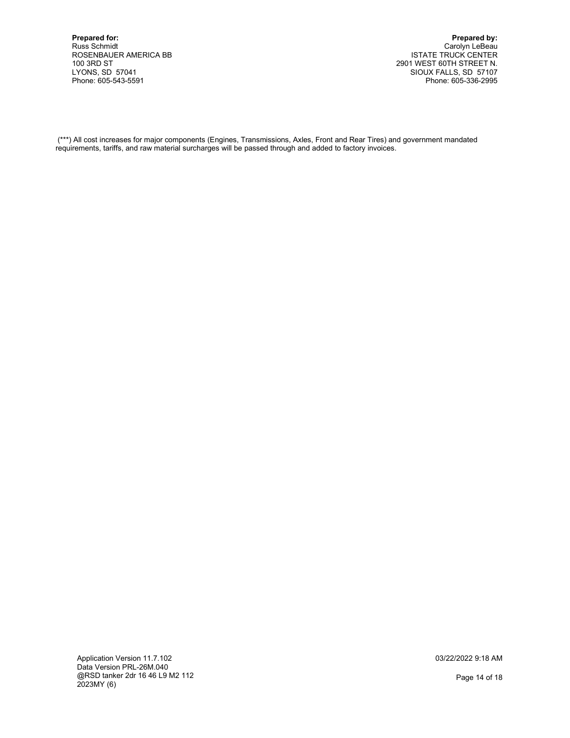Prepared by: Carolyn LeBeau ISTATE TRUCK CENTER 2901 WEST 60TH STREET N. SIOUX FALLS, SD 57107 Phone: 605-336-2995

 (\*\*\*) All cost increases for major components (Engines, Transmissions, Axles, Front and Rear Tires) and government mandated requirements, tariffs, and raw material surcharges will be passed through and added to factory invoices.

Application Version 11.7.102 Data Version PRL-26M.040 @RSD tanker 2dr 16 46 L9 M2 112 2023MY (6)

03/22/2022 9:18 AM

Page 14 of 18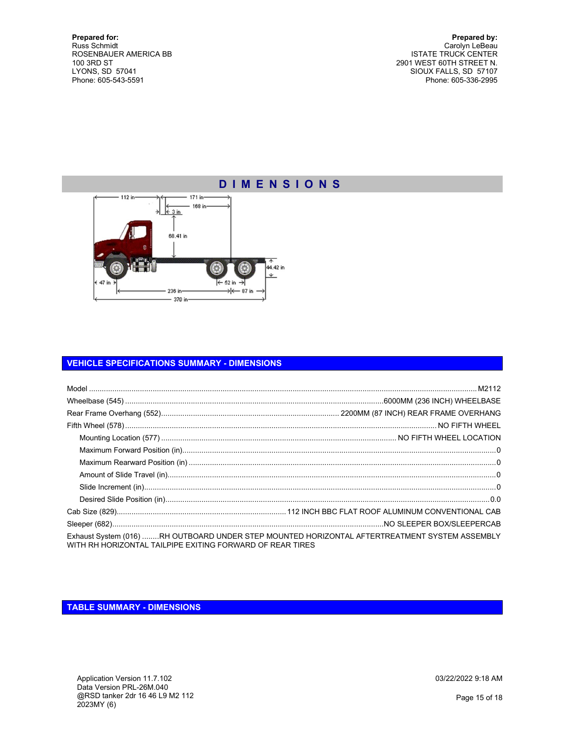Prepared by: Carolyn LeBeau ISTATE TRUCK CENTER 2901 WEST 60TH STREET N. SIOUX FALLS, SD 57107 Phone: 605-336-2995

## D I M E N S I O N S



## VEHICLE SPECIFICATIONS SUMMARY - DIMENSIONS

| Exhaust System (016) RH OUTBOARD UNDER STEP MOUNTED HORIZONTAL AFTERTREATMENT SYSTEM ASSEMBLY<br>WITH RH HORIZONTAL TAILPIPE EXITING FORWARD OF REAR TIRES |  |
|------------------------------------------------------------------------------------------------------------------------------------------------------------|--|

TABLE SUMMARY - DIMENSIONS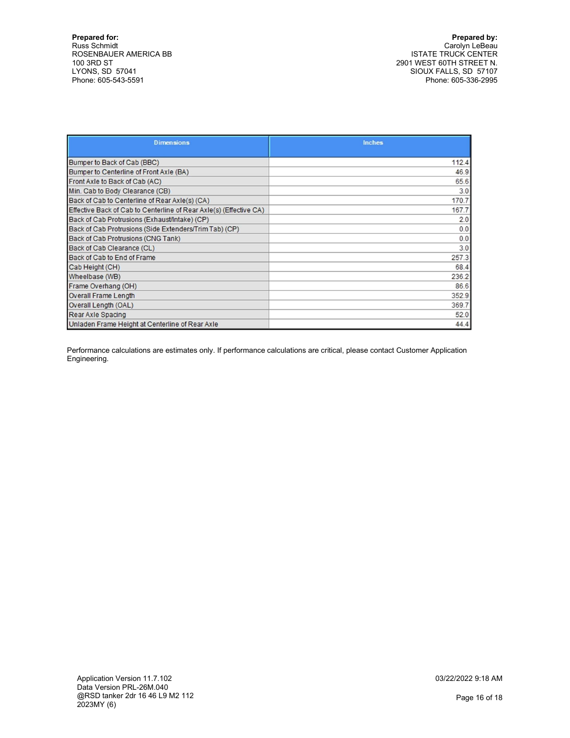Prepared by: Carolyn LeBeau ISTATE TRUCK CENTER 2901 WEST 60TH STREET N. SIOUX FALLS, SD 57107 Phone: 605-336-2995

| <b>Dimensions</b>                                                  | <b>Inches</b> |
|--------------------------------------------------------------------|---------------|
|                                                                    |               |
| Bumper to Back of Cab (BBC)                                        | 112.4         |
| Bumper to Centerline of Front Axle (BA)                            | 46.9          |
| Front Axle to Back of Cab (AC)                                     | 65.6          |
| Min. Cab to Body Clearance (CB)                                    | 3.0           |
| Back of Cab to Centerline of Rear Axle(s) (CA)                     | 170.7         |
| Effective Back of Cab to Centerline of Rear Axle(s) (Effective CA) | 167.7         |
| Back of Cab Protrusions (Exhaust/Intake) (CP)                      | 2.0           |
| Back of Cab Protrusions (Side Extenders/Trim Tab) (CP)             | 0.0           |
| Back of Cab Protrusions (CNG Tank)                                 | 0.0           |
| Back of Cab Clearance (CL)                                         | 3.0           |
| Back of Cab to End of Frame                                        | 257.3         |
| Cab Height (CH)                                                    | 68.4          |
| Wheelbase (WB)                                                     | 236.2         |
| Frame Overhang (OH)                                                | 86.6          |
| <b>Overall Frame Length</b>                                        | 352.9         |
| Overall Length (OAL)                                               | 369.7         |
| Rear Axle Spacing                                                  | 52.0          |
| Unladen Frame Height at Centerline of Rear Axle                    | 44.4          |

Performance calculations are estimates only. If performance calculations are critical, please contact Customer Application Engineering.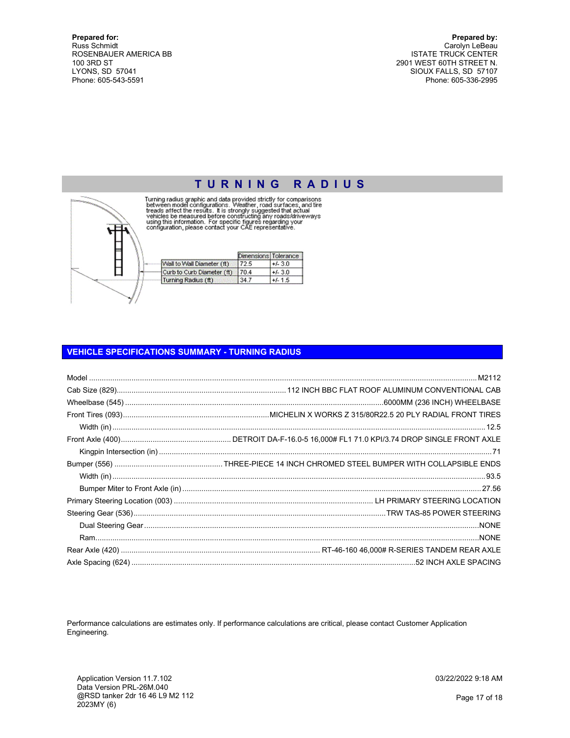Prepared by: Carolyn LeBeau ISTATE TRUCK CENTER 2901 WEST 60TH STREET N. SIOUX FALLS, SD 57107 Phone: 605-336-2995



TURNING RADIUS<br>Turning radius graphic and data provided strictly for comparisons<br>between model configurations. Weather, road surfaces, and tire<br>treads affect the results. It is strongly suggested that actual<br>vehicles be me

|                            | Dimensions Tolerance |           |
|----------------------------|----------------------|-----------|
| Wall to Wall Diameter (ft) | 72.5                 | $+/-3.0$  |
| Curb to Curb Diameter (ft) | 70.4                 | $+/-3.0$  |
| Turning Radius (ft)        | 34.7                 | $+/- 1.5$ |

## VEHICLE SPECIFICATIONS SUMMARY - TURNING RADIUS

Performance calculations are estimates only. If performance calculations are critical, please contact Customer Application Engineering.